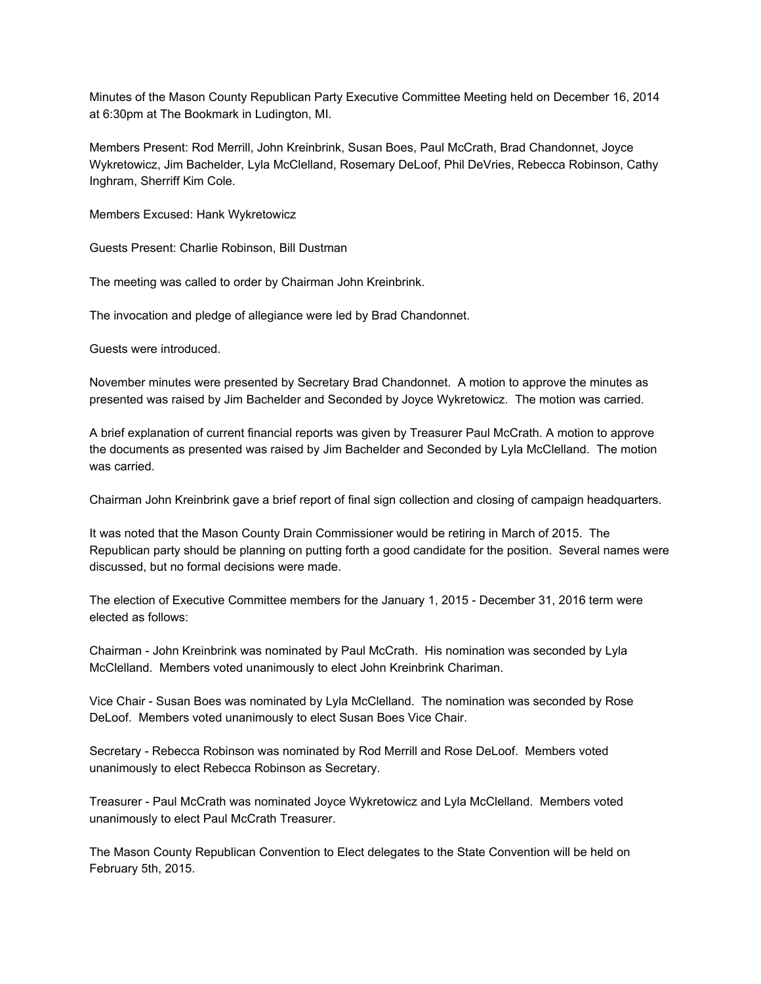Minutes of the Mason County Republican Party Executive Committee Meeting held on December 16, 2014 at 6:30pm at The Bookmark in Ludington, MI.

Members Present: Rod Merrill, John Kreinbrink, Susan Boes, Paul McCrath, Brad Chandonnet, Joyce Wykretowicz, Jim Bachelder, Lyla McClelland, Rosemary DeLoof, Phil DeVries, Rebecca Robinson, Cathy Inghram, Sherriff Kim Cole.

Members Excused: Hank Wykretowicz

Guests Present: Charlie Robinson, Bill Dustman

The meeting was called to order by Chairman John Kreinbrink.

The invocation and pledge of allegiance were led by Brad Chandonnet.

Guests were introduced.

November minutes were presented by Secretary Brad Chandonnet. A motion to approve the minutes as presented was raised by Jim Bachelder and Seconded by Joyce Wykretowicz. The motion was carried.

A brief explanation of current financial reports was given by Treasurer Paul McCrath. A motion to approve the documents as presented was raised by Jim Bachelder and Seconded by Lyla McClelland. The motion was carried.

Chairman John Kreinbrink gave a brief report of final sign collection and closing of campaign headquarters.

It was noted that the Mason County Drain Commissioner would be retiring in March of 2015. The Republican party should be planning on putting forth a good candidate for the position. Several names were discussed, but no formal decisions were made.

The election of Executive Committee members for the January 1, 2015 - December 31, 2016 term were elected as follows:

Chairman John Kreinbrink was nominated by Paul McCrath. His nomination was seconded by Lyla McClelland. Members voted unanimously to elect John Kreinbrink Chariman.

Vice Chair - Susan Boes was nominated by Lyla McClelland. The nomination was seconded by Rose DeLoof. Members voted unanimously to elect Susan Boes Vice Chair.

Secretary - Rebecca Robinson was nominated by Rod Merrill and Rose DeLoof. Members voted unanimously to elect Rebecca Robinson as Secretary.

Treasurer Paul McCrath was nominated Joyce Wykretowicz and Lyla McClelland. Members voted unanimously to elect Paul McCrath Treasurer.

The Mason County Republican Convention to Elect delegates to the State Convention will be held on February 5th, 2015.